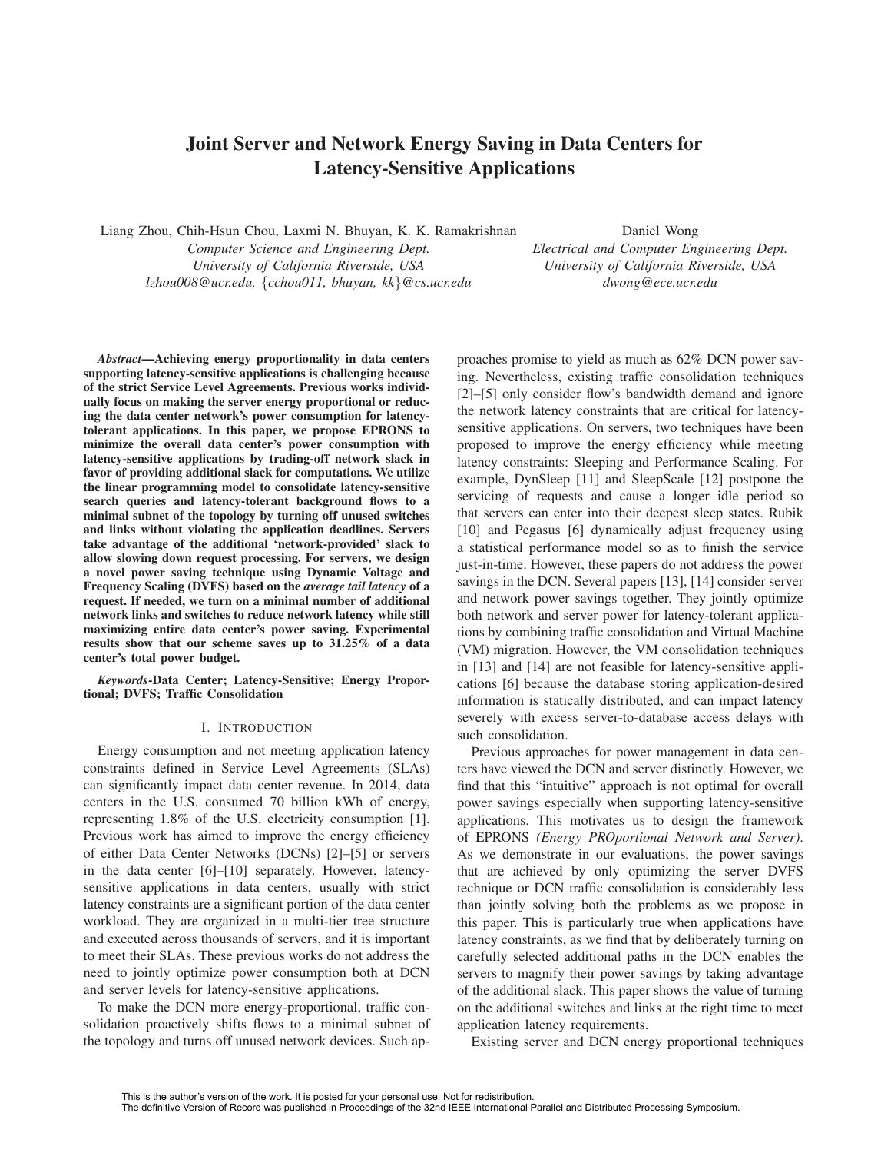# Joint Server and Network Energy Saving in Data Centers for Latency-Sensitive Applications

Liang Zhou, Chih-Hsun Chou, Laxmi N. Bhuyan, K. K. Ramakrishnan *Computer Science and Engineering Dept. University of California Riverside, USA lzhou008@ucr.edu, {cchou011, bhuyan, kk}@cs.ucr.edu*

Daniel Wong *Electrical and Computer Engineering Dept. University of California Riverside, USA dwong@ece.ucr.edu*

*Abstract*—Achieving energy proportionality in data centers supporting latency-sensitive applications is challenging because of the strict Service Level Agreements. Previous works individually focus on making the server energy proportional or reducing the data center network's power consumption for latencytolerant applications. In this paper, we propose EPRONS to minimize the overall data center's power consumption with latency-sensitive applications by trading-off network slack in favor of providing additional slack for computations. We utilize the linear programming model to consolidate latency-sensitive search queries and latency-tolerant background flows to a minimal subnet of the topology by turning off unused switches and links without violating the application deadlines. Servers take advantage of the additional 'network-provided' slack to allow slowing down request processing. For servers, we design a novel power saving technique using Dynamic Voltage and Frequency Scaling (DVFS) based on the *average tail latency* of a request. If needed, we turn on a minimal number of additional network links and switches to reduce network latency while still maximizing entire data center's power saving. Experimental results show that our scheme saves up to 31.25% of a data center's total power budget.

*Keywords*-Data Center; Latency-Sensitive; Energy Proportional; DVFS; Traffic Consolidation

# I. INTRODUCTION

Energy consumption and not meeting application latency constraints defined in Service Level Agreements (SLAs) can significantly impact data center revenue. In 2014, data centers in the U.S. consumed 70 billion kWh of energy, representing 1.8% of the U.S. electricity consumption [1]. Previous work has aimed to improve the energy efficiency of either Data Center Networks (DCNs) [2]–[5] or servers in the data center [6]–[10] separately. However, latencysensitive applications in data centers, usually with strict latency constraints are a significant portion of the data center workload. They are organized in a multi-tier tree structure and executed across thousands of servers, and it is important to meet their SLAs. These previous works do not address the need to jointly optimize power consumption both at DCN and server levels for latency-sensitive applications.

To make the DCN more energy-proportional, traffic consolidation proactively shifts flows to a minimal subnet of the topology and turns off unused network devices. Such ap-

proaches promise to yield as much as 62% DCN power saving. Nevertheless, existing traffic consolidation techniques [2]–[5] only consider flow's bandwidth demand and ignore the network latency constraints that are critical for latencysensitive applications. On servers, two techniques have been proposed to improve the energy efficiency while meeting latency constraints: Sleeping and Performance Scaling. For example, DynSleep [11] and SleepScale [12] postpone the servicing of requests and cause a longer idle period so that servers can enter into their deepest sleep states. Rubik [10] and Pegasus [6] dynamically adjust frequency using a statistical performance model so as to finish the service just-in-time. However, these papers do not address the power savings in the DCN. Several papers [13], [14] consider server and network power savings together. They jointly optimize both network and server power for latency-tolerant applications by combining traffic consolidation and Virtual Machine (VM) migration. However, the VM consolidation techniques in [13] and [14] are not feasible for latency-sensitive applications [6] because the database storing application-desired information is statically distributed, and can impact latency severely with excess server-to-database access delays with such consolidation.

Previous approaches for power management in data centers have viewed the DCN and server distinctly. However, we find that this "intuitive" approach is not optimal for overall power savings especially when supporting latency-sensitive applications. This motivates us to design the framework of EPRONS *(Energy PROportional Network and Server)*. As we demonstrate in our evaluations, the power savings that are achieved by only optimizing the server DVFS technique or DCN traffic consolidation is considerably less than jointly solving both the problems as we propose in this paper. This is particularly true when applications have latency constraints, as we find that by deliberately turning on carefully selected additional paths in the DCN enables the servers to magnify their power savings by taking advantage of the additional slack. This paper shows the value of turning on the additional switches and links at the right time to meet application latency requirements.

Existing server and DCN energy proportional techniques

The definitive Version of Record was published in Proceedings of the 32nd IEEE International Parallel and Distributed Processing Symposium.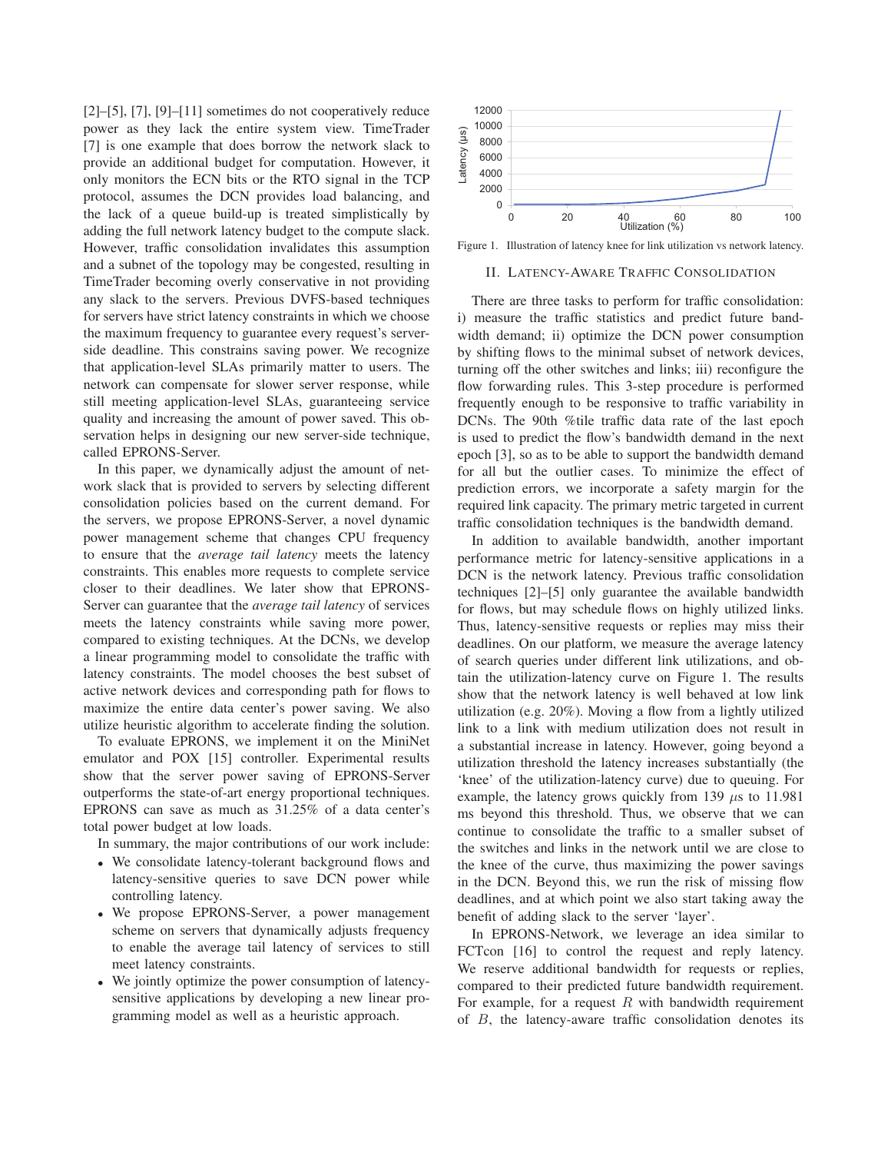[2]–[5], [7], [9]–[11] sometimes do not cooperatively reduce power as they lack the entire system view. TimeTrader [7] is one example that does borrow the network slack to provide an additional budget for computation. However, it only monitors the ECN bits or the RTO signal in the TCP protocol, assumes the DCN provides load balancing, and the lack of a queue build-up is treated simplistically by adding the full network latency budget to the compute slack. However, traffic consolidation invalidates this assumption and a subnet of the topology may be congested, resulting in TimeTrader becoming overly conservative in not providing any slack to the servers. Previous DVFS-based techniques for servers have strict latency constraints in which we choose the maximum frequency to guarantee every request's serverside deadline. This constrains saving power. We recognize that application-level SLAs primarily matter to users. The network can compensate for slower server response, while still meeting application-level SLAs, guaranteeing service quality and increasing the amount of power saved. This observation helps in designing our new server-side technique, called EPRONS-Server.

In this paper, we dynamically adjust the amount of network slack that is provided to servers by selecting different consolidation policies based on the current demand. For the servers, we propose EPRONS-Server, a novel dynamic power management scheme that changes CPU frequency to ensure that the *average tail latency* meets the latency constraints. This enables more requests to complete service closer to their deadlines. We later show that EPRONS-Server can guarantee that the *average tail latency* of services meets the latency constraints while saving more power, compared to existing techniques. At the DCNs, we develop a linear programming model to consolidate the traffic with latency constraints. The model chooses the best subset of active network devices and corresponding path for flows to maximize the entire data center's power saving. We also utilize heuristic algorithm to accelerate finding the solution.

To evaluate EPRONS, we implement it on the MiniNet emulator and POX [15] controller. Experimental results show that the server power saving of EPRONS-Server outperforms the state-of-art energy proportional techniques. EPRONS can save as much as 31.25% of a data center's total power budget at low loads.

In summary, the major contributions of our work include:

- *•* We consolidate latency-tolerant background flows and latency-sensitive queries to save DCN power while controlling latency.
- *•* We propose EPRONS-Server, a power management scheme on servers that dynamically adjusts frequency to enable the average tail latency of services to still meet latency constraints.
- *•* We jointly optimize the power consumption of latencysensitive applications by developing a new linear programming model as well as a heuristic approach.



Figure 1. Illustration of latency knee for link utilization vs network latency.

# II. LATENCY-AWARE TRAFFIC CONSOLIDATION

There are three tasks to perform for traffic consolidation: i) measure the traffic statistics and predict future bandwidth demand; ii) optimize the DCN power consumption by shifting flows to the minimal subset of network devices, turning off the other switches and links; iii) reconfigure the flow forwarding rules. This 3-step procedure is performed frequently enough to be responsive to traffic variability in DCNs. The 90th %tile traffic data rate of the last epoch is used to predict the flow's bandwidth demand in the next epoch [3], so as to be able to support the bandwidth demand for all but the outlier cases. To minimize the effect of prediction errors, we incorporate a safety margin for the required link capacity. The primary metric targeted in current traffic consolidation techniques is the bandwidth demand.

In addition to available bandwidth, another important performance metric for latency-sensitive applications in a DCN is the network latency. Previous traffic consolidation techniques [2]–[5] only guarantee the available bandwidth for flows, but may schedule flows on highly utilized links. Thus, latency-sensitive requests or replies may miss their deadlines. On our platform, we measure the average latency of search queries under different link utilizations, and obtain the utilization-latency curve on Figure 1. The results show that the network latency is well behaved at low link utilization (e.g. 20%). Moving a flow from a lightly utilized link to a link with medium utilization does not result in a substantial increase in latency. However, going beyond a utilization threshold the latency increases substantially (the 'knee' of the utilization-latency curve) due to queuing. For example, the latency grows quickly from 139  $\mu$ s to 11.981 ms beyond this threshold. Thus, we observe that we can continue to consolidate the traffic to a smaller subset of the switches and links in the network until we are close to the knee of the curve, thus maximizing the power savings in the DCN. Beyond this, we run the risk of missing flow deadlines, and at which point we also start taking away the benefit of adding slack to the server 'layer'.

In EPRONS-Network, we leverage an idea similar to FCTcon [16] to control the request and reply latency. We reserve additional bandwidth for requests or replies, compared to their predicted future bandwidth requirement. For example, for a request *R* with bandwidth requirement of *B*, the latency-aware traffic consolidation denotes its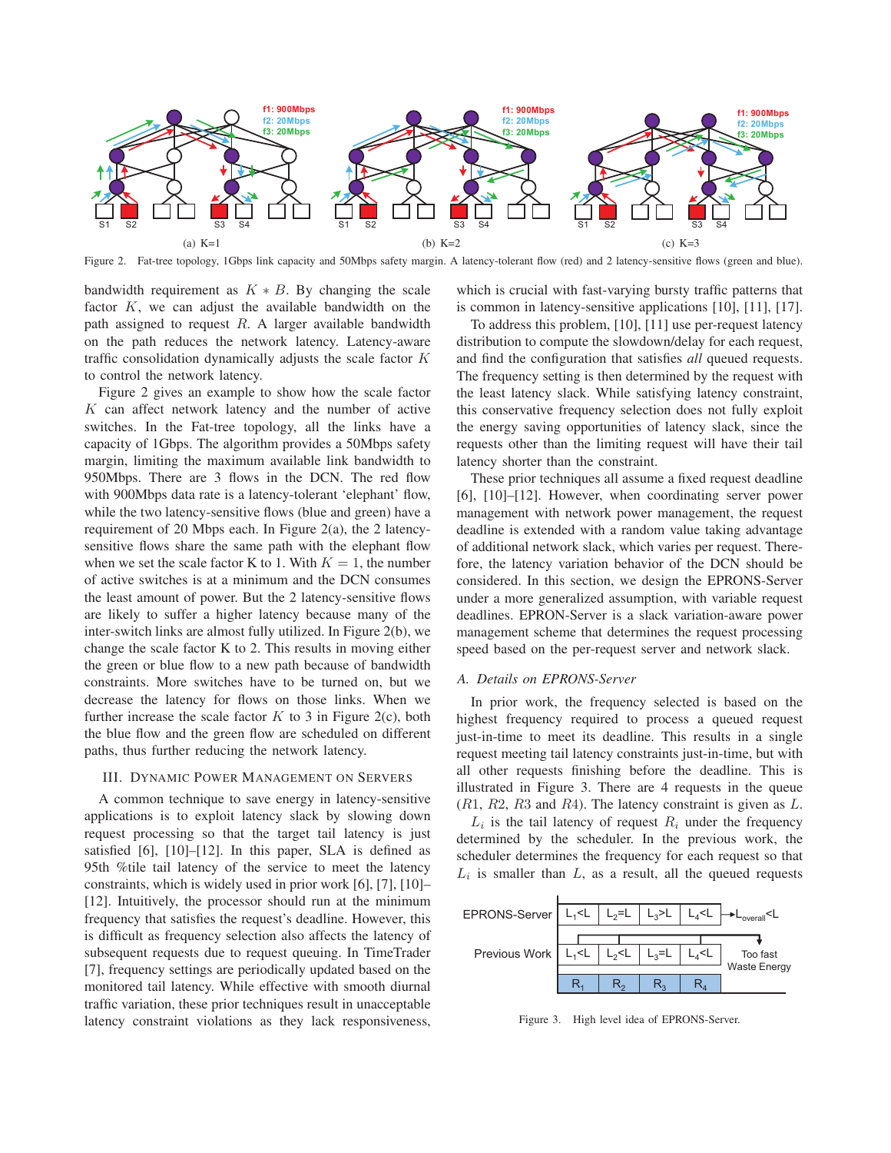

Figure 2. Fat-tree topology, 1Gbps link capacity and 50Mbps safety margin. A latency-tolerant flow (red) and 2 latency-sensitive flows (green and blue).

bandwidth requirement as  $K * B$ . By changing the scale factor *K*, we can adjust the available bandwidth on the path assigned to request *R*. A larger available bandwidth on the path reduces the network latency. Latency-aware traffic consolidation dynamically adjusts the scale factor *K* to control the network latency.

Figure 2 gives an example to show how the scale factor *K* can affect network latency and the number of active switches. In the Fat-tree topology, all the links have a capacity of 1Gbps. The algorithm provides a 50Mbps safety margin, limiting the maximum available link bandwidth to 950Mbps. There are 3 flows in the DCN. The red flow with 900Mbps data rate is a latency-tolerant 'elephant' flow, while the two latency-sensitive flows (blue and green) have a requirement of 20 Mbps each. In Figure 2(a), the 2 latencysensitive flows share the same path with the elephant flow when we set the scale factor K to 1. With  $K = 1$ , the number of active switches is at a minimum and the DCN consumes the least amount of power. But the 2 latency-sensitive flows are likely to suffer a higher latency because many of the inter-switch links are almost fully utilized. In Figure 2(b), we change the scale factor K to 2. This results in moving either the green or blue flow to a new path because of bandwidth constraints. More switches have to be turned on, but we decrease the latency for flows on those links. When we further increase the scale factor  $K$  to 3 in Figure 2(c), both the blue flow and the green flow are scheduled on different paths, thus further reducing the network latency.

## III. DYNAMIC POWER MANAGEMENT ON SERVERS

A common technique to save energy in latency-sensitive applications is to exploit latency slack by slowing down request processing so that the target tail latency is just satisfied [6], [10]–[12]. In this paper, SLA is defined as 95th %tile tail latency of the service to meet the latency constraints, which is widely used in prior work [6], [7], [10]– [12]. Intuitively, the processor should run at the minimum frequency that satisfies the request's deadline. However, this is difficult as frequency selection also affects the latency of subsequent requests due to request queuing. In TimeTrader [7], frequency settings are periodically updated based on the monitored tail latency. While effective with smooth diurnal traffic variation, these prior techniques result in unacceptable latency constraint violations as they lack responsiveness,

which is crucial with fast-varying bursty traffic patterns that is common in latency-sensitive applications [10], [11], [17].

To address this problem, [10], [11] use per-request latency distribution to compute the slowdown/delay for each request, and find the configuration that satisfies *all* queued requests. The frequency setting is then determined by the request with the least latency slack. While satisfying latency constraint, this conservative frequency selection does not fully exploit the energy saving opportunities of latency slack, since the requests other than the limiting request will have their tail latency shorter than the constraint.

These prior techniques all assume a fixed request deadline [6], [10]–[12]. However, when coordinating server power management with network power management, the request deadline is extended with a random value taking advantage of additional network slack, which varies per request. Therefore, the latency variation behavior of the DCN should be considered. In this section, we design the EPRONS-Server under a more generalized assumption, with variable request deadlines. EPRON-Server is a slack variation-aware power management scheme that determines the request processing speed based on the per-request server and network slack.

# *A. Details on EPRONS-Server*

In prior work, the frequency selected is based on the highest frequency required to process a queued request just-in-time to meet its deadline. This results in a single request meeting tail latency constraints just-in-time, but with all other requests finishing before the deadline. This is illustrated in Figure 3. There are 4 requests in the queue (*R*1, *R*2, *R*3 and *R*4). The latency constraint is given as *L*.

 $L_i$  is the tail latency of request  $R_i$  under the frequency determined by the scheduler. In the previous work, the scheduler determines the frequency for each request so that  $L_i$  is smaller than  $L$ , as a result, all the queued requests



Figure 3. High level idea of EPRONS-Server.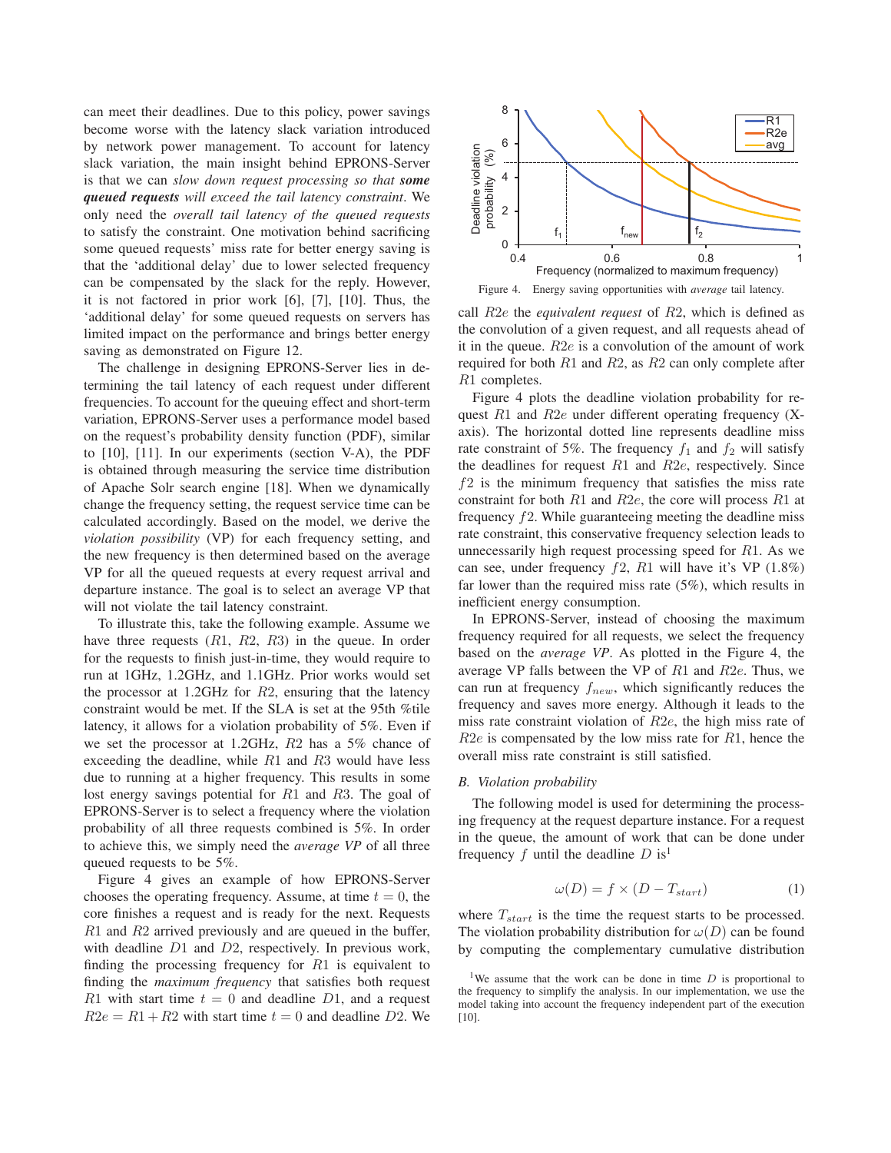can meet their deadlines. Due to this policy, power savings become worse with the latency slack variation introduced by network power management. To account for latency slack variation, the main insight behind EPRONS-Server is that we can *slow down request processing so that some queued requests will exceed the tail latency constraint*. We only need the *overall tail latency of the queued requests* to satisfy the constraint. One motivation behind sacrificing some queued requests' miss rate for better energy saving is that the 'additional delay' due to lower selected frequency can be compensated by the slack for the reply. However, it is not factored in prior work [6], [7], [10]. Thus, the 'additional delay' for some queued requests on servers has limited impact on the performance and brings better energy saving as demonstrated on Figure 12.

The challenge in designing EPRONS-Server lies in determining the tail latency of each request under different frequencies. To account for the queuing effect and short-term variation, EPRONS-Server uses a performance model based on the request's probability density function (PDF), similar to [10], [11]. In our experiments (section V-A), the PDF is obtained through measuring the service time distribution of Apache Solr search engine [18]. When we dynamically change the frequency setting, the request service time can be calculated accordingly. Based on the model, we derive the *violation possibility* (VP) for each frequency setting, and the new frequency is then determined based on the average VP for all the queued requests at every request arrival and departure instance. The goal is to select an average VP that will not violate the tail latency constraint.

To illustrate this, take the following example. Assume we have three requests (*R*1, *R*2, *R*3) in the queue. In order for the requests to finish just-in-time, they would require to run at 1GHz, 1.2GHz, and 1.1GHz. Prior works would set the processor at 1.2GHz for *R*2, ensuring that the latency constraint would be met. If the SLA is set at the 95th %tile latency, it allows for a violation probability of 5%. Even if we set the processor at 1.2GHz, *R*2 has a 5% chance of exceeding the deadline, while *R*1 and *R*3 would have less due to running at a higher frequency. This results in some lost energy savings potential for *R*1 and *R*3. The goal of EPRONS-Server is to select a frequency where the violation probability of all three requests combined is 5%. In order to achieve this, we simply need the *average VP* of all three queued requests to be 5%.

Figure 4 gives an example of how EPRONS-Server chooses the operating frequency. Assume, at time  $t = 0$ , the core finishes a request and is ready for the next. Requests *R*1 and *R*2 arrived previously and are queued in the buffer, with deadline *D*1 and *D*2, respectively. In previous work, finding the processing frequency for *R*1 is equivalent to finding the *maximum frequency* that satisfies both request *R*1 with start time  $t = 0$  and deadline *D*1, and a request  $R2e = R1 + R2$  with start time  $t = 0$  and deadline *D*2. We



Figure 4. Energy saving opportunities with *average* tail latency.

call *R*2*e* the *equivalent request* of *R*2, which is defined as the convolution of a given request, and all requests ahead of it in the queue. *R*2*e* is a convolution of the amount of work required for both *R*1 and *R*2, as *R*2 can only complete after *R*1 completes.

Figure 4 plots the deadline violation probability for request *R*1 and *R*2*e* under different operating frequency (Xaxis). The horizontal dotted line represents deadline miss rate constraint of 5%. The frequency  $f_1$  and  $f_2$  will satisfy the deadlines for request *R*1 and *R*2*e*, respectively. Since *f*2 is the minimum frequency that satisfies the miss rate constraint for both *R*1 and *R*2*e*, the core will process *R*1 at frequency *f*2. While guaranteeing meeting the deadline miss rate constraint, this conservative frequency selection leads to unnecessarily high request processing speed for *R*1. As we can see, under frequency *f*2, *R*1 will have it's VP (1.8%) far lower than the required miss rate (5%), which results in inefficient energy consumption.

In EPRONS-Server, instead of choosing the maximum frequency required for all requests, we select the frequency based on the *average VP*. As plotted in the Figure 4, the average VP falls between the VP of *R*1 and *R*2*e*. Thus, we can run at frequency *fnew*, which significantly reduces the frequency and saves more energy. Although it leads to the miss rate constraint violation of *R*2*e*, the high miss rate of *R*2*e* is compensated by the low miss rate for *R*1, hence the overall miss rate constraint is still satisfied.

## *B. Violation probability*

The following model is used for determining the processing frequency at the request departure instance. For a request in the queue, the amount of work that can be done under frequency  $f$  until the deadline  $D$  is<sup>1</sup>

$$
\omega(D) = f \times (D - T_{start}) \tag{1}
$$

where  $T_{start}$  is the time the request starts to be processed. The violation probability distribution for  $\omega(D)$  can be found by computing the complementary cumulative distribution

<sup>&</sup>lt;sup>1</sup>We assume that the work can be done in time  $D$  is proportional to the frequency to simplify the analysis. In our implementation, we use the model taking into account the frequency independent part of the execution  $[10]$ .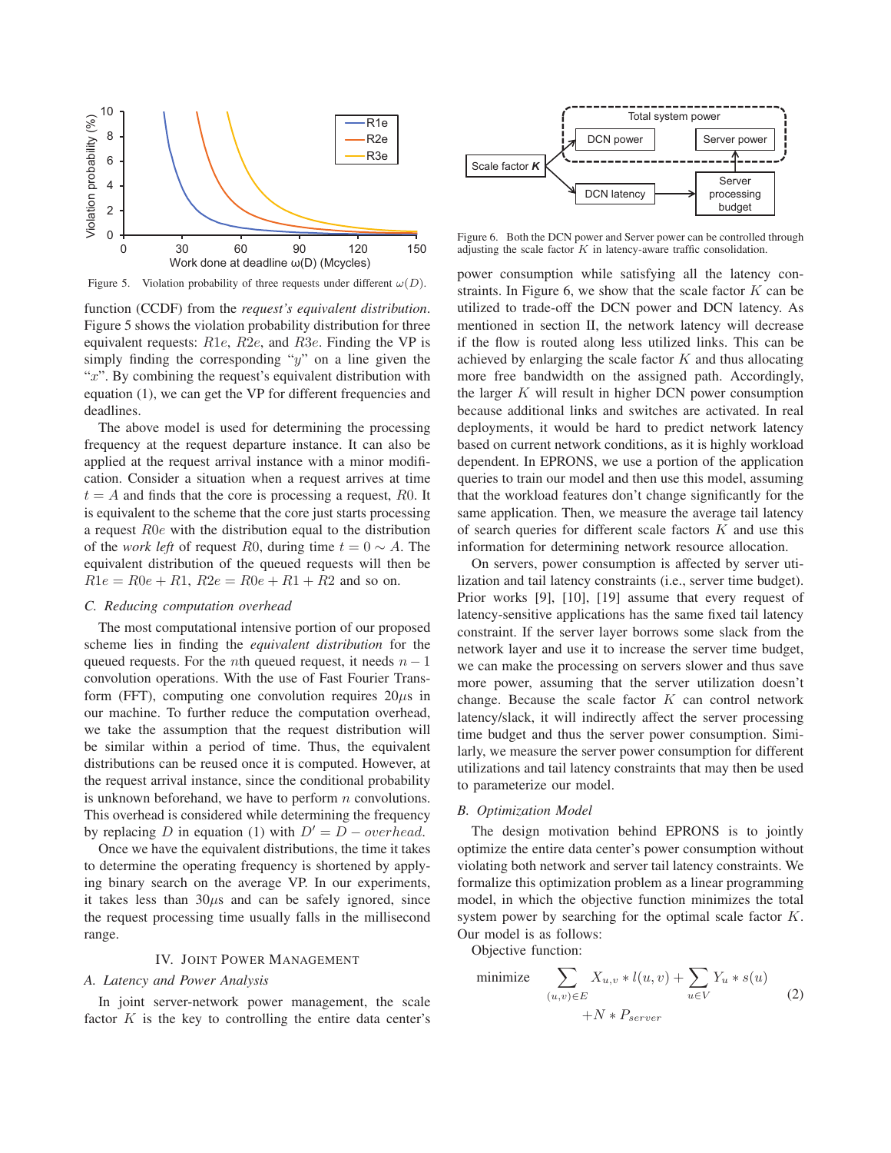

Figure 5. Violation probability of three requests under different  $\omega(D)$ .

function (CCDF) from the *request's equivalent distribution*. Figure 5 shows the violation probability distribution for three equivalent requests: *R*1*e*, *R*2*e*, and *R*3*e*. Finding the VP is simply finding the corresponding "*y*" on a line given the "*x*". By combining the request's equivalent distribution with equation (1), we can get the VP for different frequencies and deadlines.

The above model is used for determining the processing frequency at the request departure instance. It can also be applied at the request arrival instance with a minor modification. Consider a situation when a request arrives at time  $t = A$  and finds that the core is processing a request, *R*0. It is equivalent to the scheme that the core just starts processing a request *R*0*e* with the distribution equal to the distribution of the *work left* of request *R*0, during time  $t = 0 \sim A$ . The equivalent distribution of the queued requests will then be  $R1e = R0e + R1$ ,  $R2e = R0e + R1 + R2$  and so on.

# *C. Reducing computation overhead*

The most computational intensive portion of our proposed scheme lies in finding the *equivalent distribution* for the queued requests. For the *n*th queued request, it needs *n* − 1 convolution operations. With the use of Fast Fourier Transform (FFT), computing one convolution requires 20*µ*s in our machine. To further reduce the computation overhead, we take the assumption that the request distribution will be similar within a period of time. Thus, the equivalent distributions can be reused once it is computed. However, at the request arrival instance, since the conditional probability is unknown beforehand, we have to perform *n* convolutions. This overhead is considered while determining the frequency by replacing *D* in equation (1) with  $D' = D - overhead$ .

Once we have the equivalent distributions, the time it takes to determine the operating frequency is shortened by applying binary search on the average VP. In our experiments, it takes less than 30*µ*s and can be safely ignored, since the request processing time usually falls in the millisecond range.

## IV. JOINT POWER MANAGEMENT

# *A. Latency and Power Analysis*

In joint server-network power management, the scale factor *K* is the key to controlling the entire data center's



Figure 6. Both the DCN power and Server power can be controlled through adjusting the scale factor *K* in latency-aware traffic consolidation.

power consumption while satisfying all the latency constraints. In Figure 6, we show that the scale factor *K* can be utilized to trade-off the DCN power and DCN latency. As mentioned in section II, the network latency will decrease if the flow is routed along less utilized links. This can be achieved by enlarging the scale factor *K* and thus allocating more free bandwidth on the assigned path. Accordingly, the larger *K* will result in higher DCN power consumption because additional links and switches are activated. In real deployments, it would be hard to predict network latency based on current network conditions, as it is highly workload dependent. In EPRONS, we use a portion of the application queries to train our model and then use this model, assuming that the workload features don't change significantly for the same application. Then, we measure the average tail latency of search queries for different scale factors *K* and use this information for determining network resource allocation.

On servers, power consumption is affected by server utilization and tail latency constraints (i.e., server time budget). Prior works [9], [10], [19] assume that every request of latency-sensitive applications has the same fixed tail latency constraint. If the server layer borrows some slack from the network layer and use it to increase the server time budget, we can make the processing on servers slower and thus save more power, assuming that the server utilization doesn't change. Because the scale factor *K* can control network latency/slack, it will indirectly affect the server processing time budget and thus the server power consumption. Similarly, we measure the server power consumption for different utilizations and tail latency constraints that may then be used to parameterize our model.

#### *B. Optimization Model*

The design motivation behind EPRONS is to jointly optimize the entire data center's power consumption without violating both network and server tail latency constraints. We formalize this optimization problem as a linear programming model, in which the objective function minimizes the total system power by searching for the optimal scale factor *K*. Our model is as follows:

Objective function:

minimize 
$$
\sum_{(u,v)\in E} X_{u,v} * l(u,v) + \sum_{u\in V} Y_u * s(u)
$$

$$
+ N * P_{server}
$$
 (2)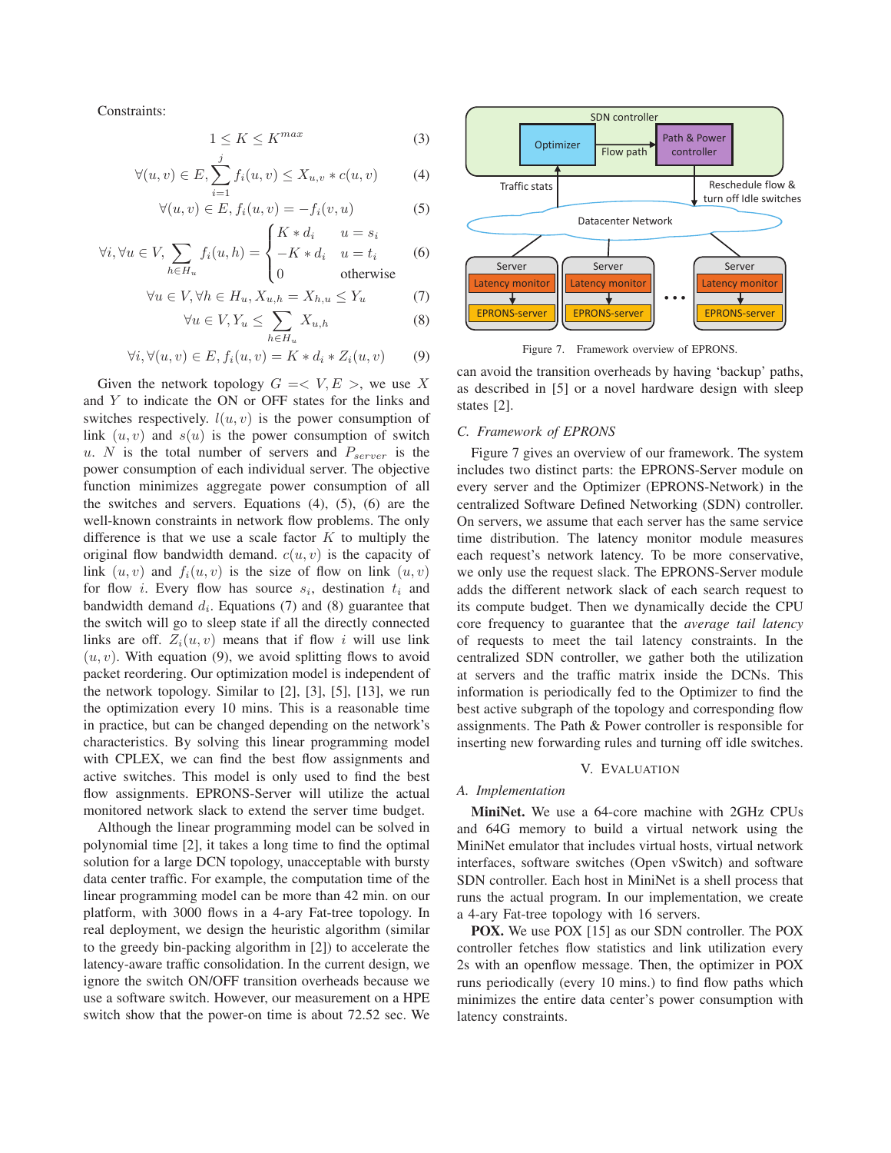Constraints:

$$
1 \le K \le K^{max} \tag{3}
$$

$$
\forall (u, v) \in E, \sum_{i=1}^{j} f_i(u, v) \le X_{u, v} * c(u, v)
$$
 (4)

$$
\forall (u, v) \in E, f_i(u, v) = -f_i(v, u)
$$
\n
$$
\begin{cases}\nK * d, & u = s.\n\end{cases}
$$
\n(5)

$$
\forall i, \forall u \in V, \sum_{h \in H_u} f_i(u, h) = \begin{cases} K * d_i & u = s_i \\ -K * d_i & u = t_i \\ 0 & \text{otherwise} \end{cases}
$$
(6)

$$
\forall u \in V, \forall h \in H_u, X_{u,h} = X_{h,u} \le Y_u \tag{7}
$$

$$
\forall u \in V, Y_u \le \sum_{h \in H_u} X_{u,h} \tag{8}
$$

$$
\forall i, \forall (u, v) \in E, f_i(u, v) = K * d_i * Z_i(u, v)
$$
 (9)

Given the network topology  $G = \langle V, E \rangle$ , we use X and *Y* to indicate the ON or OFF states for the links and switches respectively.  $l(u, v)$  is the power consumption of link  $(u, v)$  and  $s(u)$  is the power consumption of switch *u*. *N* is the total number of servers and *Pserver* is the power consumption of each individual server. The objective function minimizes aggregate power consumption of all the switches and servers. Equations  $(4)$ ,  $(5)$ ,  $(6)$  are the well-known constraints in network flow problems. The only difference is that we use a scale factor *K* to multiply the original flow bandwidth demand.  $c(u, v)$  is the capacity of link  $(u, v)$  and  $f_i(u, v)$  is the size of flow on link  $(u, v)$ for flow *i*. Every flow has source  $s_i$ , destination  $t_i$  and bandwidth demand *di*. Equations (7) and (8) guarantee that the switch will go to sleep state if all the directly connected links are off.  $Z_i(u, v)$  means that if flow *i* will use link  $(u, v)$ . With equation (9), we avoid splitting flows to avoid packet reordering. Our optimization model is independent of the network topology. Similar to [2], [3], [5], [13], we run the optimization every 10 mins. This is a reasonable time in practice, but can be changed depending on the network's characteristics. By solving this linear programming model with CPLEX, we can find the best flow assignments and active switches. This model is only used to find the best flow assignments. EPRONS-Server will utilize the actual monitored network slack to extend the server time budget.

Although the linear programming model can be solved in polynomial time [2], it takes a long time to find the optimal solution for a large DCN topology, unacceptable with bursty data center traffic. For example, the computation time of the linear programming model can be more than 42 min. on our platform, with 3000 flows in a 4-ary Fat-tree topology. In real deployment, we design the heuristic algorithm (similar to the greedy bin-packing algorithm in [2]) to accelerate the latency-aware traffic consolidation. In the current design, we ignore the switch ON/OFF transition overheads because we use a software switch. However, our measurement on a HPE switch show that the power-on time is about 72.52 sec. We



Figure 7. Framework overview of EPRONS.

can avoid the transition overheads by having 'backup' paths, as described in [5] or a novel hardware design with sleep states [2].

# *C. Framework of EPRONS*

Figure 7 gives an overview of our framework. The system includes two distinct parts: the EPRONS-Server module on every server and the Optimizer (EPRONS-Network) in the centralized Software Defined Networking (SDN) controller. On servers, we assume that each server has the same service time distribution. The latency monitor module measures each request's network latency. To be more conservative, we only use the request slack. The EPRONS-Server module adds the different network slack of each search request to its compute budget. Then we dynamically decide the CPU core frequency to guarantee that the *average tail latency* of requests to meet the tail latency constraints. In the centralized SDN controller, we gather both the utilization at servers and the traffic matrix inside the DCNs. This information is periodically fed to the Optimizer to find the best active subgraph of the topology and corresponding flow assignments. The Path & Power controller is responsible for inserting new forwarding rules and turning off idle switches.

# V. EVALUATION

# *A. Implementation*

MiniNet. We use a 64-core machine with 2GHz CPUs and 64G memory to build a virtual network using the MiniNet emulator that includes virtual hosts, virtual network interfaces, software switches (Open vSwitch) and software SDN controller. Each host in MiniNet is a shell process that runs the actual program. In our implementation, we create a 4-ary Fat-tree topology with 16 servers.

POX. We use POX [15] as our SDN controller. The POX controller fetches flow statistics and link utilization every 2s with an openflow message. Then, the optimizer in POX runs periodically (every 10 mins.) to find flow paths which minimizes the entire data center's power consumption with latency constraints.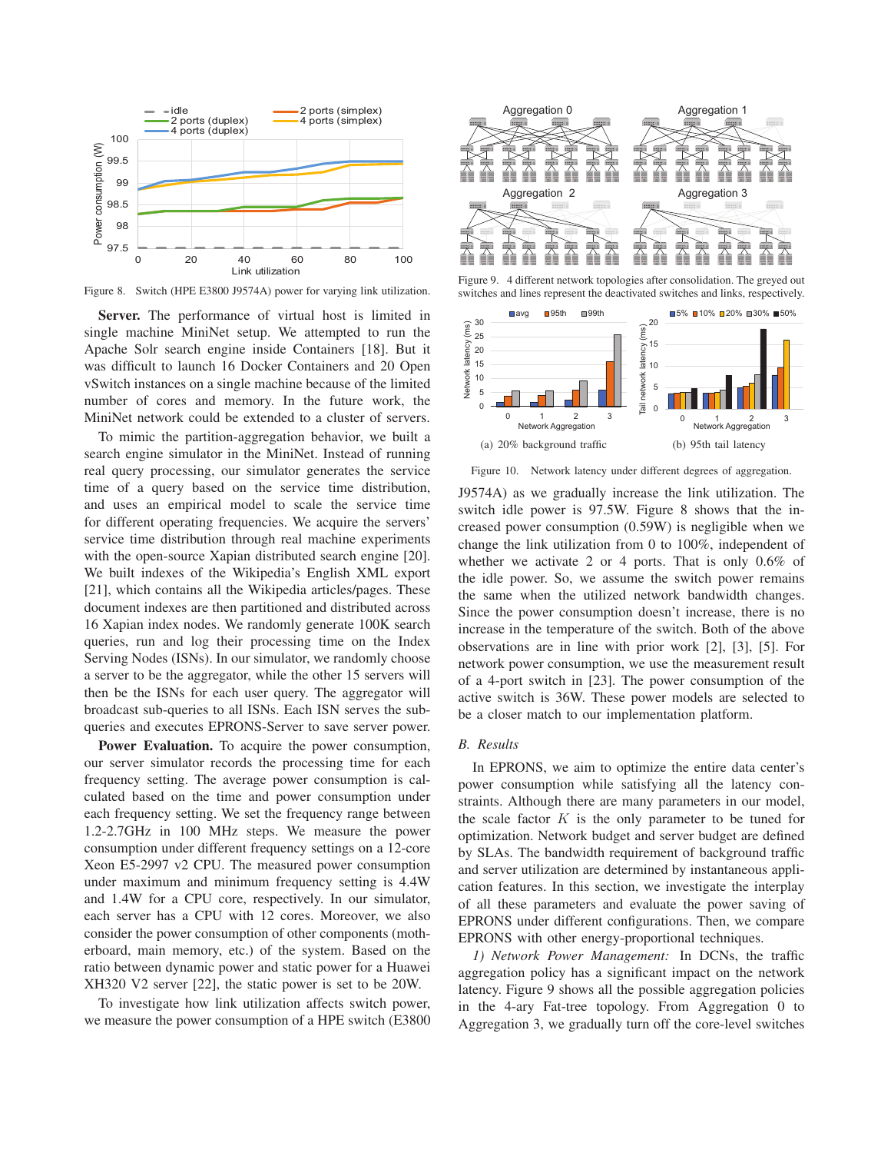

Figure 8. Switch (HPE E3800 J9574A) power for varying link utilization.

Server. The performance of virtual host is limited in single machine MiniNet setup. We attempted to run the Apache Solr search engine inside Containers [18]. But it was difficult to launch 16 Docker Containers and 20 Open vSwitch instances on a single machine because of the limited number of cores and memory. In the future work, the MiniNet network could be extended to a cluster of servers.

To mimic the partition-aggregation behavior, we built a search engine simulator in the MiniNet. Instead of running real query processing, our simulator generates the service time of a query based on the service time distribution, and uses an empirical model to scale the service time for different operating frequencies. We acquire the servers' service time distribution through real machine experiments with the open-source Xapian distributed search engine [20]. We built indexes of the Wikipedia's English XML export [21], which contains all the Wikipedia articles/pages. These document indexes are then partitioned and distributed across 16 Xapian index nodes. We randomly generate 100K search queries, run and log their processing time on the Index Serving Nodes (ISNs). In our simulator, we randomly choose a server to be the aggregator, while the other 15 servers will then be the ISNs for each user query. The aggregator will broadcast sub-queries to all ISNs. Each ISN serves the subqueries and executes EPRONS-Server to save server power.

Power Evaluation. To acquire the power consumption, our server simulator records the processing time for each frequency setting. The average power consumption is calculated based on the time and power consumption under each frequency setting. We set the frequency range between 1.2-2.7GHz in 100 MHz steps. We measure the power consumption under different frequency settings on a 12-core Xeon E5-2997 v2 CPU. The measured power consumption under maximum and minimum frequency setting is 4.4W and 1.4W for a CPU core, respectively. In our simulator, each server has a CPU with 12 cores. Moreover, we also consider the power consumption of other components (motherboard, main memory, etc.) of the system. Based on the ratio between dynamic power and static power for a Huawei XH320 V2 server [22], the static power is set to be 20W.

To investigate how link utilization affects switch power, we measure the power consumption of a HPE switch (E3800



Figure 9. 4 different network topologies after consolidation. The greyed out switches and lines represent the deactivated switches and links, respectively.



Figure 10. Network latency under different degrees of aggregation.

J9574A) as we gradually increase the link utilization. The switch idle power is 97.5W. Figure 8 shows that the increased power consumption (0.59W) is negligible when we change the link utilization from 0 to 100%, independent of whether we activate 2 or 4 ports. That is only 0.6% of the idle power. So, we assume the switch power remains the same when the utilized network bandwidth changes. Since the power consumption doesn't increase, there is no increase in the temperature of the switch. Both of the above observations are in line with prior work [2], [3], [5]. For network power consumption, we use the measurement result of a 4-port switch in [23]. The power consumption of the active switch is 36W. These power models are selected to be a closer match to our implementation platform.

## *B. Results*

In EPRONS, we aim to optimize the entire data center's power consumption while satisfying all the latency constraints. Although there are many parameters in our model, the scale factor *K* is the only parameter to be tuned for optimization. Network budget and server budget are defined by SLAs. The bandwidth requirement of background traffic and server utilization are determined by instantaneous application features. In this section, we investigate the interplay of all these parameters and evaluate the power saving of EPRONS under different configurations. Then, we compare EPRONS with other energy-proportional techniques.

*1) Network Power Management:* In DCNs, the traffic aggregation policy has a significant impact on the network latency. Figure 9 shows all the possible aggregation policies in the 4-ary Fat-tree topology. From Aggregation 0 to Aggregation 3, we gradually turn off the core-level switches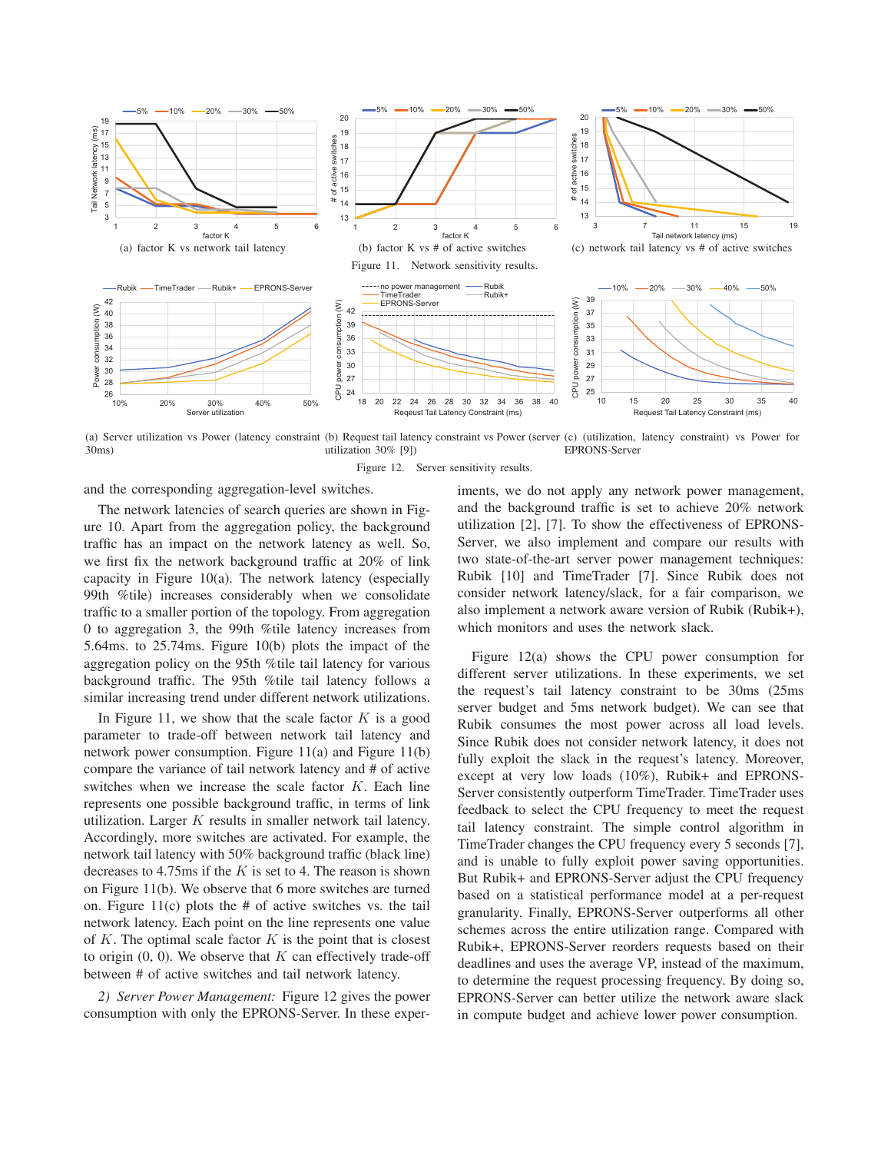

(a) Server utilization vs Power (latency constraint (b) Request tail latency constraint vs Power (server (c) (utilization, latency constraint) vs Power for 30ms) utilization 30% [9]) EPRONS-Server

Figure 12. Server sensitivity results.

and the corresponding aggregation-level switches.

The network latencies of search queries are shown in Figure 10. Apart from the aggregation policy, the background traffic has an impact on the network latency as well. So, we first fix the network background traffic at 20% of link capacity in Figure 10(a). The network latency (especially 99th %tile) increases considerably when we consolidate traffic to a smaller portion of the topology. From aggregation 0 to aggregation 3, the 99th %tile latency increases from 5.64ms. to 25.74ms. Figure 10(b) plots the impact of the aggregation policy on the 95th %tile tail latency for various background traffic. The 95th %tile tail latency follows a similar increasing trend under different network utilizations.

In Figure 11, we show that the scale factor *K* is a good parameter to trade-off between network tail latency and network power consumption. Figure 11(a) and Figure 11(b) compare the variance of tail network latency and # of active switches when we increase the scale factor *K*. Each line represents one possible background traffic, in terms of link utilization. Larger *K* results in smaller network tail latency. Accordingly, more switches are activated. For example, the network tail latency with 50% background traffic (black line) decreases to 4.75ms if the *K* is set to 4. The reason is shown on Figure 11(b). We observe that 6 more switches are turned on. Figure  $11(c)$  plots the  $#$  of active switches vs. the tail network latency. Each point on the line represents one value of *K*. The optimal scale factor *K* is the point that is closest to origin (0, 0). We observe that *K* can effectively trade-off between # of active switches and tail network latency.

*2) Server Power Management:* Figure 12 gives the power consumption with only the EPRONS-Server. In these experiments, we do not apply any network power management, and the background traffic is set to achieve 20% network utilization [2], [7]. To show the effectiveness of EPRONS-Server, we also implement and compare our results with two state-of-the-art server power management techniques: Rubik [10] and TimeTrader [7]. Since Rubik does not consider network latency/slack, for a fair comparison, we also implement a network aware version of Rubik (Rubik+), which monitors and uses the network slack.

Figure 12(a) shows the CPU power consumption for different server utilizations. In these experiments, we set the request's tail latency constraint to be 30ms (25ms server budget and 5ms network budget). We can see that Rubik consumes the most power across all load levels. Since Rubik does not consider network latency, it does not fully exploit the slack in the request's latency. Moreover, except at very low loads (10%), Rubik+ and EPRONS-Server consistently outperform TimeTrader. TimeTrader uses feedback to select the CPU frequency to meet the request tail latency constraint. The simple control algorithm in TimeTrader changes the CPU frequency every 5 seconds [7], and is unable to fully exploit power saving opportunities. But Rubik+ and EPRONS-Server adjust the CPU frequency based on a statistical performance model at a per-request granularity. Finally, EPRONS-Server outperforms all other schemes across the entire utilization range. Compared with Rubik+, EPRONS-Server reorders requests based on their deadlines and uses the average VP, instead of the maximum, to determine the request processing frequency. By doing so, EPRONS-Server can better utilize the network aware slack in compute budget and achieve lower power consumption.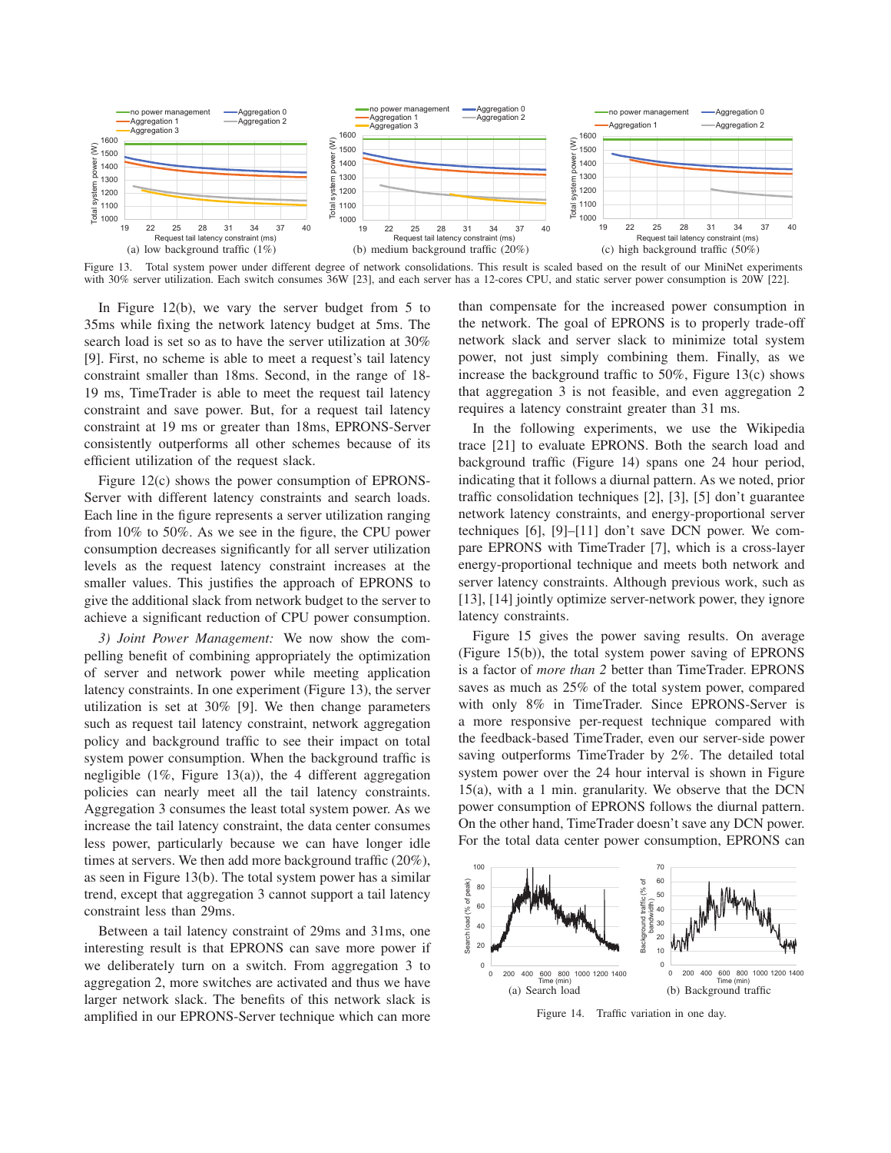

Figure 13. Total system power under different degree of network consolidations. This result is scaled based on the result of our MiniNet experiments with 30% server utilization. Each switch consumes 36W [23], and each server has a 12-cores CPU, and static server power consumption is 20W [22].

In Figure 12(b), we vary the server budget from 5 to 35ms while fixing the network latency budget at 5ms. The search load is set so as to have the server utilization at 30% [9]. First, no scheme is able to meet a request's tail latency constraint smaller than 18ms. Second, in the range of 18- 19 ms, TimeTrader is able to meet the request tail latency constraint and save power. But, for a request tail latency constraint at 19 ms or greater than 18ms, EPRONS-Server consistently outperforms all other schemes because of its efficient utilization of the request slack.

Figure 12(c) shows the power consumption of EPRONS-Server with different latency constraints and search loads. Each line in the figure represents a server utilization ranging from 10% to 50%. As we see in the figure, the CPU power consumption decreases significantly for all server utilization levels as the request latency constraint increases at the smaller values. This justifies the approach of EPRONS to give the additional slack from network budget to the server to achieve a significant reduction of CPU power consumption.

*3) Joint Power Management:* We now show the compelling benefit of combining appropriately the optimization of server and network power while meeting application latency constraints. In one experiment (Figure 13), the server utilization is set at 30% [9]. We then change parameters such as request tail latency constraint, network aggregation policy and background traffic to see their impact on total system power consumption. When the background traffic is negligible  $(1\%,$  Figure  $13(a)$ ), the 4 different aggregation policies can nearly meet all the tail latency constraints. Aggregation 3 consumes the least total system power. As we increase the tail latency constraint, the data center consumes less power, particularly because we can have longer idle times at servers. We then add more background traffic (20%), as seen in Figure 13(b). The total system power has a similar trend, except that aggregation 3 cannot support a tail latency constraint less than 29ms.

Between a tail latency constraint of 29ms and 31ms, one interesting result is that EPRONS can save more power if we deliberately turn on a switch. From aggregation 3 to aggregation 2, more switches are activated and thus we have larger network slack. The benefits of this network slack is amplified in our EPRONS-Server technique which can more than compensate for the increased power consumption in the network. The goal of EPRONS is to properly trade-off network slack and server slack to minimize total system power, not just simply combining them. Finally, as we increase the background traffic to 50%, Figure 13(c) shows that aggregation 3 is not feasible, and even aggregation 2 requires a latency constraint greater than 31 ms.

In the following experiments, we use the Wikipedia trace [21] to evaluate EPRONS. Both the search load and background traffic (Figure 14) spans one 24 hour period, indicating that it follows a diurnal pattern. As we noted, prior traffic consolidation techniques [2], [3], [5] don't guarantee network latency constraints, and energy-proportional server techniques [6], [9]–[11] don't save DCN power. We compare EPRONS with TimeTrader [7], which is a cross-layer energy-proportional technique and meets both network and server latency constraints. Although previous work, such as [13], [14] jointly optimize server-network power, they ignore latency constraints.

Figure 15 gives the power saving results. On average (Figure 15(b)), the total system power saving of EPRONS is a factor of *more than 2* better than TimeTrader. EPRONS saves as much as 25% of the total system power, compared with only 8% in TimeTrader. Since EPRONS-Server is a more responsive per-request technique compared with the feedback-based TimeTrader, even our server-side power saving outperforms TimeTrader by 2%. The detailed total system power over the 24 hour interval is shown in Figure 15(a), with a 1 min. granularity. We observe that the DCN power consumption of EPRONS follows the diurnal pattern. On the other hand, TimeTrader doesn't save any DCN power. For the total data center power consumption, EPRONS can



Figure 14. Traffic variation in one day.